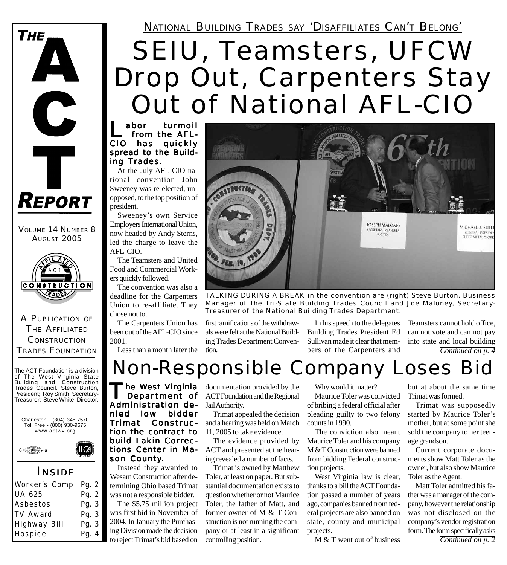# SEIU, Teamsters, UFCW Drop Out, Carpenters Stay Out of National AFL-CIO

abor turmoil<br>from the AFL-CIO has quickly spread to the Building Trades.

At the July AFL-CIO national convention John Sweeney was re-elected, unopposed, to the top position of president.

Sweeney's own Service Employers International Union, now headed by Andy Sterns, led the charge to leave the AFL-CIO.

The Teamsters and United Food and Commercial Workers quickly followed.

The convention was also a deadline for the Carpenters Union to re-affiliate. They chose not to.

The Carpenters Union has been out of the AFL-CIO since 2001.

Less than a month later the



*TALKING DURING A BREAK in the convention are (right) Steve Burton, Business Manager of the Tri-State Building Trades Council and Joe Maloney, Secretary-Treasurer of the National Building Trades Department.*

first ramifications of the withdrawals were felt at the National Building Trades Department Convention.

In his speech to the delegates Building Trades President Ed Sullivan made it clear that members of the Carpenters and

*Continued on p. 4* Teamsters cannot hold office, can not vote and can not pay into state and local building

Non-Responsible Company Loses Bid

**'he West Virginia** Department of Administration denied low bidder Trimat Construction the contract to build Lakin Corrections Center in Mason County.

Instead they awarded to Wesam Construction after determining Ohio based Trimat was not a responsible bidder.

The \$5.75 million project was first bid in November of 2004. In January the Purchasing Division made the decision to reject Trimat's bid based on documentation provided by the ACT Foundation and the Regional Jail Authority.

Trimat appealed the decision and a hearing was held on March 11, 2005 to take evidence.

The evidence provided by ACT and presented at the hearing revealed a number of facts.

Trimat is owned by Matthew Toler, at least on paper. But substantial documentation exists to question whether or not Maurice Toler, the father of Matt, and former owner of M & T Construction is not running the company or at least in a significant controlling position.

Why would it matter?

Maurice Toler was convicted of bribing a federal official after pleading guilty to two felony counts in 1990.

The conviction also meant Maurice Toler and his company M & T Construction were banned from bidding Federal construction projects.

West Virginia law is clear, thanks to a bill the ACT Foundation passed a number of years ago, companies banned from federal projects are also banned on state, county and municipal projects.

M & T went out of business

but at about the same time Trimat was formed.

Trimat was supposedly started by Maurice Toler's mother, but at some point she sold the company to her teenage grandson.

Current corporate documents show Matt Toler as the owner, but also show Maurice Toler as the Agent.

Matt Toler admitted his father was a manager of the company, however the relationship was not disclosed on the company's vendor registration form. The form specifically asks

*Continued on p. 2*

### **CONSTRUCTION RADE** A PUBLICATION OF THE AFFILIATED

VOLUME 14 NUMBER 8 **AUGUST 2005** 

**REPORT** 

 $\mathbf C$ 

**THE** 

**CONSTRUCTION** TRADES FOUNDATION

The ACT Foundation is a division of The West Virginia State Building and Construction Trades Council. Steve Burton, President; Roy Smith, Secretary-Treasurer; Steve White, Director.

Charleston - (304) 345-7570 Toll Free - (800) 930-9675 www.actwv.org

 $\mathsf{I}\mathsf{C}\mathsf{A}$ 



#### *I NSIDE*

| <b>Worker's Comp</b> | <b>Pg. 2</b> |
|----------------------|--------------|
| <b>UA 625</b>        | Pg. 2        |
| <b>Asbestos</b>      | Pg. 3        |
| <b>TV Award</b>      | Pg. 3        |
| <b>Highway Bill</b>  | Pg. 3        |
| <b>Hospice</b>       | Pg. 4        |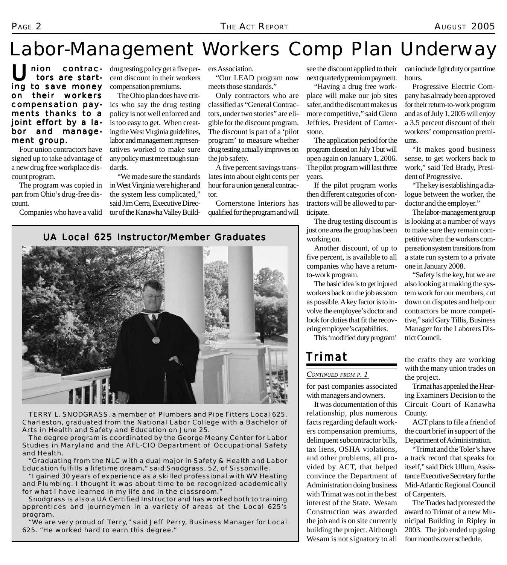## Labor-Management Workers Comp Plan Underway

Union contrac-<br>tors are starting to save money on their workers compensation payments thanks to a joint effort by a labor and management group.

Four union contractors have signed up to take advantage of a new drug free workplace discount program.

The program was copied in part from Ohio's drug-free discount.

Companies who have a valid

drug testing policy get a five percent discount in their workers compensation premiums.

The Ohio plan does have critics who say the drug testing policy is not well enforced and is too easy to get. When creating the West Virginia guidelines, labor and management representatives worked to make sure any policy must meet tough standards.

"We made sure the standards in West Virginia were higher and the system less complicated," said Jim Cerra, Executive Director of the Kanawha Valley Builders Association.

"Our LEAD program now meets those standards."

Only contractors who are classified as "General Contractors, under two stories" are eligible for the discount program. The discount is part of a 'pilot program' to measure whether drug testing actually improves on the job safety.

A five percent savings translates into about eight cents per hour for a union general contractor.

Cornerstone Interiors has qualified for the program and will

see the discount applied to their next quarterly premium payment.

"Having a drug free workplace will make our job sites safer, and the discount makes us more competitive," said Glenn Jeffries, President of Cornerstone.

The application period for the program closed on July 1 but will open again on January 1, 2006. The pilot program will last three years.

If the pilot program works then different categories of contractors will be allowed to participate.

The drug testing discount is just one area the group has been working on.

Another discount, of up to five percent, is available to all companies who have a returnto-work program.

The basic idea is to get injured workers back on the job as soon as possible. A key factor is to involve the employee's doctor and look for duties that fit the recovering employee's capabilities.

This 'modified duty program'

#### *Trimat*

#### *CONTINUED FROM P. 1*

for past companies associated with managers and owners.

It was documentation of this relationship, plus numerous facts regarding default workers compensation premiums, delinquent subcontractor bills, tax liens, OSHA violations, and other problems, all provided by ACT, that helped convince the Department of Administration doing business with Trimat was not in the best interest of the State. Wesam Construction was awarded the job and is on site currently building the project. Although Wesam is not signatory to all

can include light duty or part time hours.

Progressive Electric Company has already been approved for their return-to-work program and as of July 1, 2005 will enjoy a 3.5 percent discount of their workers' compensation premiums.

"It makes good business sense, to get workers back to work," said Ted Brady, President of Progressive.

"The key is establishing a dialogue between the worker, the doctor and the employer."

The labor-management group is looking at a number of ways to make sure they remain competitive when the workers compensation system transitions from a state run system to a private one in January 2008.

"Safety is the key, but we are also looking at making the system work for our members, cut down on disputes and help our contractors be more competitive," said Gary Tillis, Business Manager for the Laborers District Council.

the crafts they are working with the many union trades on the project.

Trimat has appealed the Hearing Examiners Decision to the Circuit Court of Kanawha County.

ACT plans to file a friend of the court brief in support of the Department of Administration.

"Trimat and the Toler's have a track record that speaks for itself," said Dick Ullum, Assistance Executive Secretary for the Mid-Atlantic Regional Council of Carpenters.

The Trades had protested the award to Trimat of a new Municipal Building in Ripley in 2003. The job ended up going four months over schedule.

#### **UA Local 625 Instructor/Member Graduates**



*TERRY L. SNODGRASS, a member of Plumbers and Pipe Fitters Local 625, Charleston, graduated from the National Labor College with a Bachelor of Arts in Health and Safety and Education on June 25.*

*The degree program is coordinated by the George Meany Center for Labor Studies in Maryland and the AFL-CIO Department of Occupational Safety and Health.*

*"Graduating from the NLC with a dual major in Safety & Health and Labor Education fulfills a lifetime dream," said Snodgrass, 52, of Sissonville.*

*"I gained 30 years of experience as a skilled professional with WV Heating and Plumbing. I thought it was about time to be recognized academically for what I have learned in my life and in the classroom."*

*Snodgrass is also a UA Certified Instructor and has worked both to training apprentices and journeymen in a variety of areas at the Local 625's program.*

*"We are very proud of Terry," said Jeff Perry, Business Manager for Local 625. "He worked hard to earn this degree."*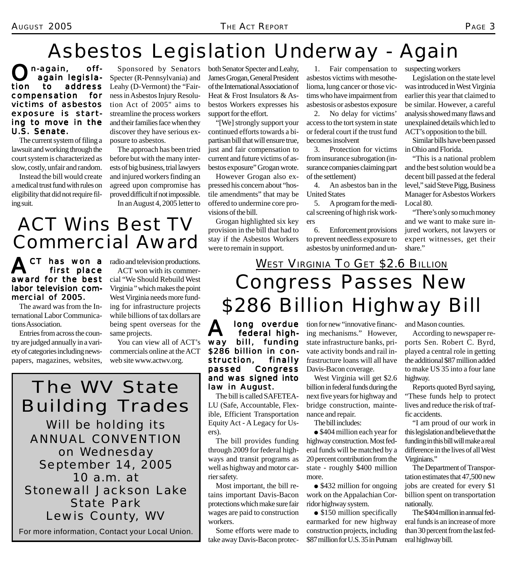## Asbestos Legislation Underway - Again

O<sup>n-again, off-</sup><br>
again legislation to address compensation for victims of asbestos exposure is starting to move in the U.S. Senate.

The current system of filing a lawsuit and working through the court system is characterized as slow, costly, unfair and random.

Instead the bill would create a medical trust fund with rules on eligibility that did not require filing suit.

Sponsored by Senators Specter (R-Pennsylvania) and Leahy (D-Vermont) the "Fairness in Asbestos Injury Resolution Act of 2005" aims to streamline the process workers and their families face when they discover they have serious exposure to asbestos.

The approach has been tried before but with the many interests of big business, trial lawyers and injured workers finding an agreed upon compromise has proved difficult if not impossible. In an August 4, 2005 letter to

both Senator Specter and Leahy, James Grogan, General President of the International Association of Heat & Frost Insulators & Asbestos Workers expresses his support for the effort.

"[We] strongly support your continued efforts towards a bipartisan bill that will ensure true, just and fair compensation to current and future victims of asbestos exposure" Grogan wrote.

However Grogan also expressed his concern about "hostile amendments" that may be offered to undermine core provisions of the bill.

Grogan highlighted six key provision in the bill that had to stay if the Asbestos Workers were to remain in support.

1. Fair compensation to asbestos victims with mesothelioma, lung cancer or those victims who have impairment from asbestosis or asbestos exposure

2. No delay for victims' access to the tort system in state or federal court if the trust fund becomes insolvent

3. Protection for victims from insurance subrogation (insurance companies claiming part of the settlement)

4. An asbestos ban in the United States

5. A program for the medical screening of high risk workers

6. Enforcement provisions to prevent needless exposure to asbestos by uninformed and unsuspecting workers

Legislation on the state level was introduced in West Virginia earlier this year that claimed to be similar. However, a careful analysis showed many flaws and unexplained details which led to ACT's opposition to the bill.

Similar bills have been passed in Ohio and Florida.

"This is a national problem and the best solution would be a decent bill passed at the federal level," said Steve Pigg, Business Manager for Asbestos Workers Local 80.

"There's only so much money and we want to make sure injured workers, not lawyers or expert witnesses, get their share."

## ACT Wins Best TV Commercial Award

CT has won a first place award for the best labor television commercial of 2005.

The award was from the International Labor Communications Association.

Entries from across the country are judged annually in a variety of categories including newspapers, magazines, websites, radio and television productions. ACT won with its commercial "We Should Rebuild West Virginia " which makes the point West Virginia needs more funding for infrastructure projects while billions of tax dollars are being spent overseas for the same projects.

You can view all of ACT's commercials online at the ACT web site www.actwv.org.

## The WV State Building Trades

Will be holding its ANNUAL CONVENTION *on Wednesday September 14, 2005* 10 a.m. at Stonewall Jackson Lake State Park Lewis County, WV

For more information, Contact your Local Union.

## Congress Passes New \$286 Billion Highway Bill **WEST VIRGINIA TO GET \$2.6 BILLION**

**A** long overdue<br>way bill, funding federal highfunding \$286 billion in construction, finally passed Congress and was signed into law in August.

The bill is called SAFETEA-LU (Safe, Accountable, Flexible, Efficient Transportation Equity Act - A Legacy for Users).

The bill provides funding through 2009 for federal highways and transit programs as well as highway and motor carrier safety.

Most important, the bill retains important Davis-Bacon protections which make sure fair wages are paid to construction workers.

Some efforts were made to take away Davis-Bacon protection for new "innovative financing mechanisms." However, state infrastructure banks, private activity bonds and rail infrastructure loans will all have Davis-Bacon coverage.

West Virginia will get \$2.6 billion in federal funds during the next five years for highway and bridge construction, maintenance and repair.

The bill includes:

• \$404 million each year for highway construction. Most federal funds will be matched by a 20 percent contribution from the state - roughly \$400 million more.

• \$432 million for ongoing work on the Appalachian Corridor highway system.

• \$150 million specifically earmarked for new highway construction projects, including \$87 million for U.S. 35 in Putnam and Mason counties.

According to newspaper reports Sen. Robert C. Byrd, played a central role in getting the additional \$87 million added to make US 35 into a four lane highway.

Reports quoted Byrd saying, "These funds help to protect lives and reduce the risk of traffic accidents.

"I am proud of our work in this legislation and believe that the funding in this bill will make a real difference in the lives of all West Virginians."

The Department of Transportation estimates that 47,500 new jobs are created for every \$1 billion spent on transportation nationally.

The \$404 million in annual federal funds is an increase of more than 30 percent from the last federal highway bill.